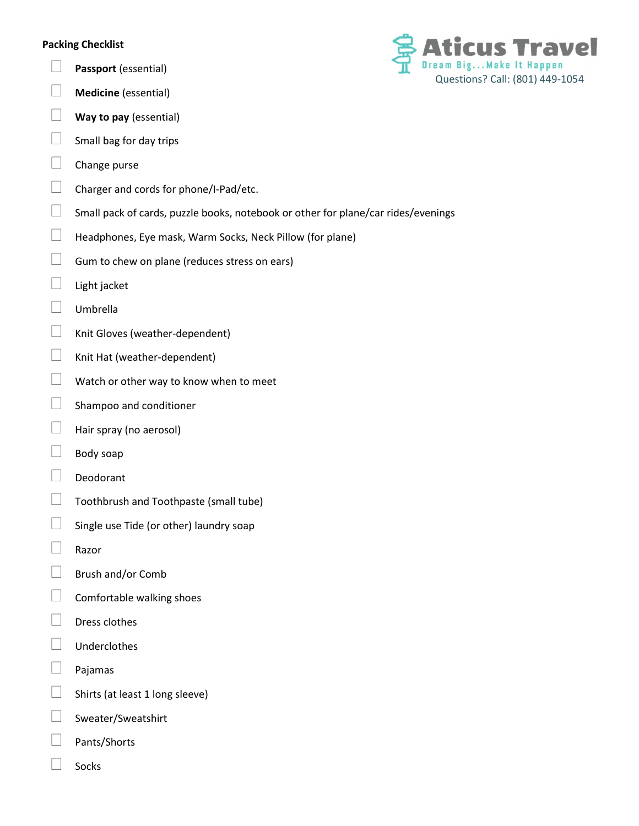## Packing Checklist

- $\Box$  Passport (essential)
- $\Box$  Medicine (essential)
- $\Box$  Way to pay (essential)
- $\Box$  Small bag for day trips
- $\Box$  Change purse
- Charger and cords for phone/I-Pad/etc.
- $\Box$  Small pack of cards, puzzle books, notebook or other for plane/car rides/evenings
- $\Box$  Headphones, Eye mask, Warm Socks, Neck Pillow (for plane)
- $\Box$  Gum to chew on plane (reduces stress on ears)
- $\Box$  Light jacket
- Umbrella
- $\Box$  Knit Gloves (weather-dependent)
- $\Box$  Knit Hat (weather-dependent)
- $\Box$  Watch or other way to know when to meet
- $\Box$  Shampoo and conditioner
- $\Box$  Hair spray (no aerosol)
- $\Box$  Body soap
- Deodorant
- $\Box$  Toothbrush and Toothpaste (small tube)
- $\Box$  Single use Tide (or other) laundry soap
- $\Box$  Razor
- $\Box$  Brush and/or Comb
- $\Box$  Comfortable walking shoes
- $\Box$  Dress clothes
- **Underclothes**
- Pajamas
- $\Box$  Shirts (at least 1 long sleeve)
- $\Box$  Sweater/Sweatshirt
- Pants/Shorts
- Socks